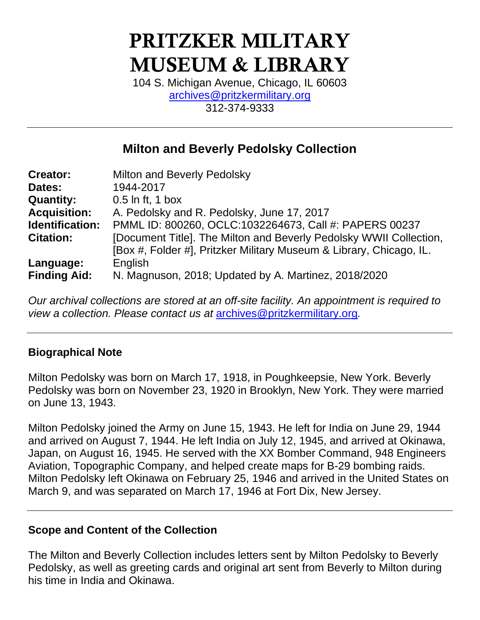# PRITZKER MILITARY MUSEUM & LIBRARY

104 S. Michigan Avenue, Chicago, IL 60603 [archives@pritzkermilitary.org](mailto:archives@pritzkermilitary.org) 312-374-9333

## **Milton and Beverly Pedolsky Collection**

| <b>Creator:</b>     | Milton and Beverly Pedolsky                                         |
|---------------------|---------------------------------------------------------------------|
| Dates:              | 1944-2017                                                           |
| <b>Quantity:</b>    | $0.5$ In ft, 1 box                                                  |
| <b>Acquisition:</b> | A. Pedolsky and R. Pedolsky, June 17, 2017                          |
| Identification:     | PMML ID: 800260, OCLC:1032264673, Call #: PAPERS 00237              |
| <b>Citation:</b>    | [Document Title]. The Milton and Beverly Pedolsky WWII Collection,  |
|                     | [Box #, Folder #], Pritzker Military Museum & Library, Chicago, IL. |
| Language:           | English                                                             |
| <b>Finding Aid:</b> | N. Magnuson, 2018; Updated by A. Martinez, 2018/2020                |

*Our archival collections are stored at an off-site facility. An appointment is required to view a collection. Please contact us at* [archives@pritzkermilitary.org](mailto:archives@pritzkermilitary.org)*.*

#### **Biographical Note**

Milton Pedolsky was born on March 17, 1918, in Poughkeepsie, New York. Beverly Pedolsky was born on November 23, 1920 in Brooklyn, New York. They were married on June 13, 1943.

Milton Pedolsky joined the Army on June 15, 1943. He left for India on June 29, 1944 and arrived on August 7, 1944. He left India on July 12, 1945, and arrived at Okinawa, Japan, on August 16, 1945. He served with the XX Bomber Command, 948 Engineers Aviation, Topographic Company, and helped create maps for B-29 bombing raids. Milton Pedolsky left Okinawa on February 25, 1946 and arrived in the United States on March 9, and was separated on March 17, 1946 at Fort Dix, New Jersey.

#### **Scope and Content of the Collection**

The Milton and Beverly Collection includes letters sent by Milton Pedolsky to Beverly Pedolsky, as well as greeting cards and original art sent from Beverly to Milton during his time in India and Okinawa.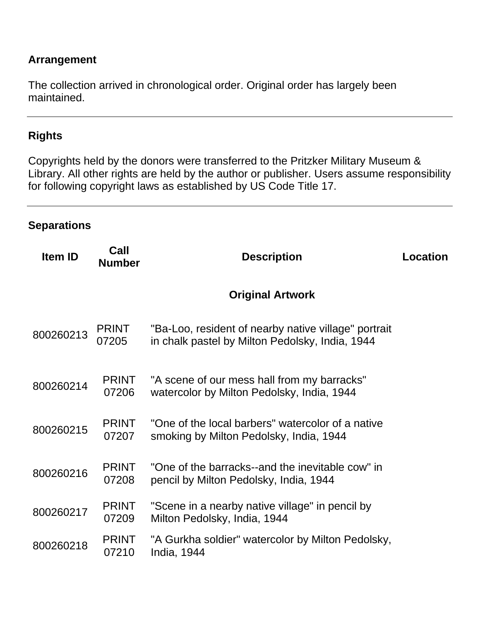#### **Arrangement**

The collection arrived in chronological order. Original order has largely been maintained.

#### **Rights**

Copyrights held by the donors were transferred to the Pritzker Military Museum & Library. All other rights are held by the author or publisher. Users assume responsibility for following copyright laws as established by US Code Title 17.

#### **Separations**

| <b>Item ID</b> | Call<br><b>Number</b> | <b>Description</b>                                                                                      | Location |
|----------------|-----------------------|---------------------------------------------------------------------------------------------------------|----------|
|                |                       | <b>Original Artwork</b>                                                                                 |          |
| 800260213      | <b>PRINT</b><br>07205 | "Ba-Loo, resident of nearby native village" portrait<br>in chalk pastel by Milton Pedolsky, India, 1944 |          |
| 800260214      | <b>PRINT</b><br>07206 | "A scene of our mess hall from my barracks"<br>watercolor by Milton Pedolsky, India, 1944               |          |
| 800260215      | <b>PRINT</b><br>07207 | "One of the local barbers" watercolor of a native<br>smoking by Milton Pedolsky, India, 1944            |          |
| 800260216      | <b>PRINT</b><br>07208 | "One of the barracks--and the inevitable cow" in<br>pencil by Milton Pedolsky, India, 1944              |          |
| 800260217      | <b>PRINT</b><br>07209 | "Scene in a nearby native village" in pencil by<br>Milton Pedolsky, India, 1944                         |          |
| 800260218      | <b>PRINT</b><br>07210 | "A Gurkha soldier" watercolor by Milton Pedolsky,<br>India, 1944                                        |          |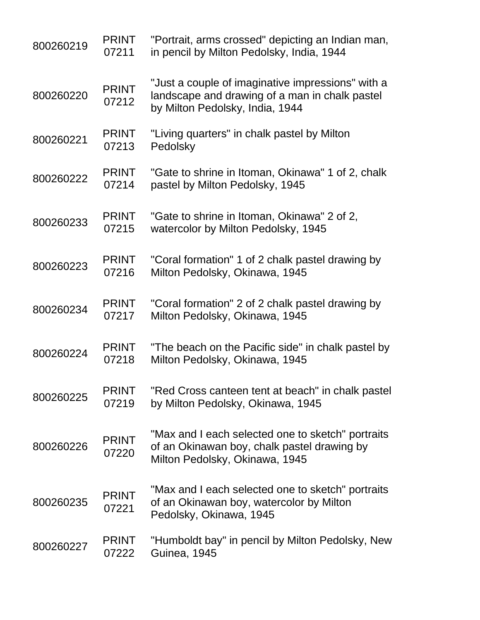| 800260219 | <b>PRINT</b><br>07211 | "Portrait, arms crossed" depicting an Indian man,<br>in pencil by Milton Pedolsky, India, 1944                                         |
|-----------|-----------------------|----------------------------------------------------------------------------------------------------------------------------------------|
| 800260220 | <b>PRINT</b><br>07212 | "Just a couple of imaginative impressions" with a<br>landscape and drawing of a man in chalk pastel<br>by Milton Pedolsky, India, 1944 |
| 800260221 | <b>PRINT</b><br>07213 | "Living quarters" in chalk pastel by Milton<br>Pedolsky                                                                                |
| 800260222 | <b>PRINT</b><br>07214 | "Gate to shrine in Itoman, Okinawa" 1 of 2, chalk<br>pastel by Milton Pedolsky, 1945                                                   |
| 800260233 | <b>PRINT</b><br>07215 | "Gate to shrine in Itoman, Okinawa" 2 of 2,<br>watercolor by Milton Pedolsky, 1945                                                     |
| 800260223 | <b>PRINT</b><br>07216 | "Coral formation" 1 of 2 chalk pastel drawing by<br>Milton Pedolsky, Okinawa, 1945                                                     |
| 800260234 | <b>PRINT</b><br>07217 | "Coral formation" 2 of 2 chalk pastel drawing by<br>Milton Pedolsky, Okinawa, 1945                                                     |
| 800260224 | <b>PRINT</b><br>07218 | "The beach on the Pacific side" in chalk pastel by<br>Milton Pedolsky, Okinawa, 1945                                                   |
| 800260225 | <b>PRINT</b><br>07219 | "Red Cross canteen tent at beach" in chalk pastel<br>by Milton Pedolsky, Okinawa, 1945                                                 |
| 800260226 | <b>PRINT</b><br>07220 | "Max and I each selected one to sketch" portraits<br>of an Okinawan boy, chalk pastel drawing by<br>Milton Pedolsky, Okinawa, 1945     |
| 800260235 | <b>PRINT</b><br>07221 | "Max and I each selected one to sketch" portraits<br>of an Okinawan boy, watercolor by Milton<br>Pedolsky, Okinawa, 1945               |
| 800260227 | <b>PRINT</b><br>07222 | "Humboldt bay" in pencil by Milton Pedolsky, New<br><b>Guinea, 1945</b>                                                                |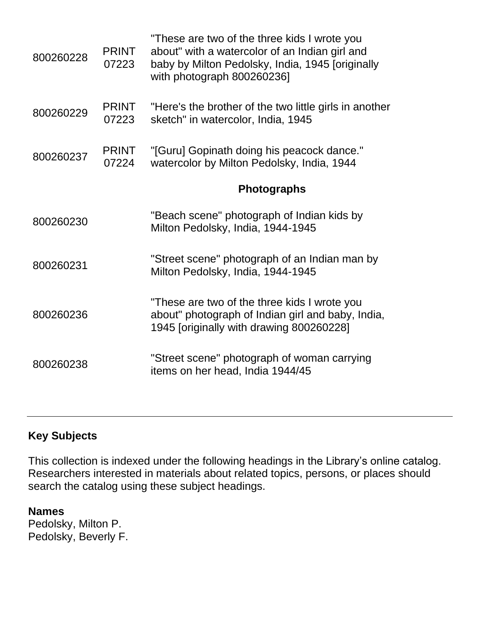| 800260228 | <b>PRINT</b><br>07223 | "These are two of the three kids I wrote you<br>about" with a watercolor of an Indian girl and<br>baby by Milton Pedolsky, India, 1945 [originally<br>with photograph 800260236] |
|-----------|-----------------------|----------------------------------------------------------------------------------------------------------------------------------------------------------------------------------|
| 800260229 | <b>PRINT</b><br>07223 | "Here's the brother of the two little girls in another<br>sketch" in watercolor, India, 1945                                                                                     |
| 800260237 | <b>PRINT</b><br>07224 | "[Guru] Gopinath doing his peacock dance."<br>watercolor by Milton Pedolsky, India, 1944                                                                                         |
|           |                       | <b>Photographs</b>                                                                                                                                                               |
| 800260230 |                       | "Beach scene" photograph of Indian kids by<br>Milton Pedolsky, India, 1944-1945                                                                                                  |
| 800260231 |                       | "Street scene" photograph of an Indian man by<br>Milton Pedolsky, India, 1944-1945                                                                                               |
| 800260236 |                       | "These are two of the three kids I wrote you<br>about" photograph of Indian girl and baby, India,<br>1945 [originally with drawing 800260228]                                    |
| 800260238 |                       | "Street scene" photograph of woman carrying<br>items on her head, India 1944/45                                                                                                  |

### **Key Subjects**

This collection is indexed under the following headings in the Library's online catalog. Researchers interested in materials about related topics, persons, or places should search the catalog using these subject headings.

**Names** Pedolsky, Milton P. Pedolsky, Beverly F.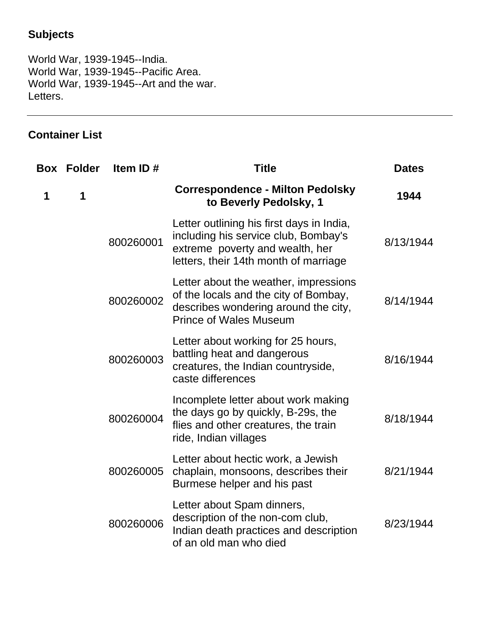## **Subjects**

World War, 1939-1945--India. World War, 1939-1945--Pacific Area. World War, 1939-1945--Art and the war. Letters.

## **Container List**

|   | <b>Box Folder</b> | Item ID#  | <b>Title</b>                                                                                                                                                  | <b>Dates</b> |
|---|-------------------|-----------|---------------------------------------------------------------------------------------------------------------------------------------------------------------|--------------|
| 1 | 1                 |           | <b>Correspondence - Milton Pedolsky</b><br>to Beverly Pedolsky, 1                                                                                             | 1944         |
|   |                   | 800260001 | Letter outlining his first days in India,<br>including his service club, Bombay's<br>extreme poverty and wealth, her<br>letters, their 14th month of marriage | 8/13/1944    |
|   |                   | 800260002 | Letter about the weather, impressions<br>of the locals and the city of Bombay,<br>describes wondering around the city,<br><b>Prince of Wales Museum</b>       | 8/14/1944    |
|   |                   | 800260003 | Letter about working for 25 hours,<br>battling heat and dangerous<br>creatures, the Indian countryside,<br>caste differences                                  | 8/16/1944    |
|   |                   | 800260004 | Incomplete letter about work making<br>the days go by quickly, B-29s, the<br>flies and other creatures, the train<br>ride, Indian villages                    | 8/18/1944    |
|   |                   | 800260005 | Letter about hectic work, a Jewish<br>chaplain, monsoons, describes their<br>Burmese helper and his past                                                      | 8/21/1944    |
|   |                   | 800260006 | Letter about Spam dinners,<br>description of the non-com club,<br>Indian death practices and description<br>of an old man who died                            | 8/23/1944    |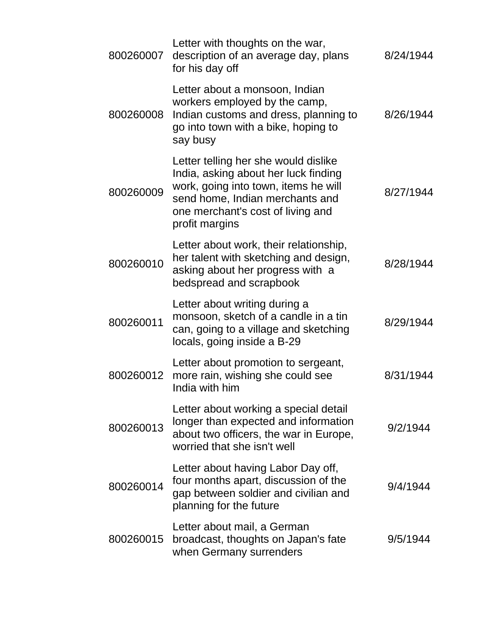| 800260007 | Letter with thoughts on the war,<br>description of an average day, plans<br>for his day off                                                                                                                    | 8/24/1944 |
|-----------|----------------------------------------------------------------------------------------------------------------------------------------------------------------------------------------------------------------|-----------|
| 800260008 | Letter about a monsoon, Indian<br>workers employed by the camp,<br>Indian customs and dress, planning to<br>go into town with a bike, hoping to<br>say busy                                                    | 8/26/1944 |
| 800260009 | Letter telling her she would dislike<br>India, asking about her luck finding<br>work, going into town, items he will<br>send home, Indian merchants and<br>one merchant's cost of living and<br>profit margins | 8/27/1944 |
| 800260010 | Letter about work, their relationship,<br>her talent with sketching and design,<br>asking about her progress with a<br>bedspread and scrapbook                                                                 | 8/28/1944 |
| 800260011 | Letter about writing during a<br>monsoon, sketch of a candle in a tin<br>can, going to a village and sketching<br>locals, going inside a B-29                                                                  | 8/29/1944 |
| 800260012 | Letter about promotion to sergeant,<br>more rain, wishing she could see<br>India with him                                                                                                                      | 8/31/1944 |
| 800260013 | Letter about working a special detail<br>longer than expected and information<br>about two officers, the war in Europe,<br>worried that she isn't well                                                         | 9/2/1944  |
| 800260014 | Letter about having Labor Day off,<br>four months apart, discussion of the<br>gap between soldier and civilian and<br>planning for the future                                                                  | 9/4/1944  |
| 800260015 | Letter about mail, a German<br>broadcast, thoughts on Japan's fate<br>when Germany surrenders                                                                                                                  | 9/5/1944  |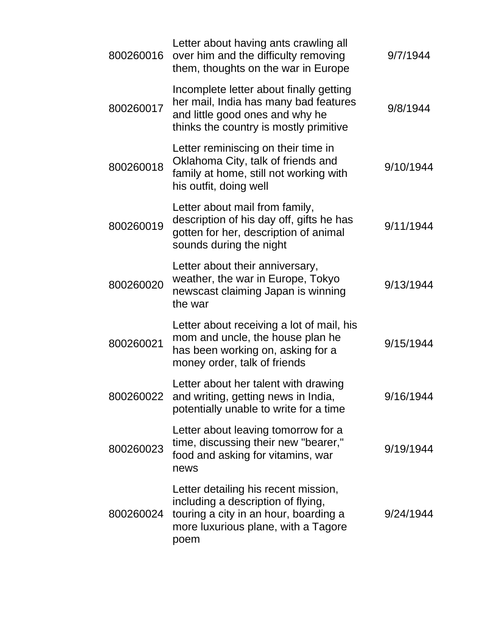| 800260016 | Letter about having ants crawling all<br>over him and the difficulty removing<br>them, thoughts on the war in Europe                                               | 9/7/1944  |
|-----------|--------------------------------------------------------------------------------------------------------------------------------------------------------------------|-----------|
| 800260017 | Incomplete letter about finally getting<br>her mail, India has many bad features<br>and little good ones and why he<br>thinks the country is mostly primitive      | 9/8/1944  |
| 800260018 | Letter reminiscing on their time in<br>Oklahoma City, talk of friends and<br>family at home, still not working with<br>his outfit, doing well                      | 9/10/1944 |
| 800260019 | Letter about mail from family,<br>description of his day off, gifts he has<br>gotten for her, description of animal<br>sounds during the night                     | 9/11/1944 |
| 800260020 | Letter about their anniversary,<br>weather, the war in Europe, Tokyo<br>newscast claiming Japan is winning<br>the war                                              | 9/13/1944 |
| 800260021 | Letter about receiving a lot of mail, his<br>mom and uncle, the house plan he<br>has been working on, asking for a<br>money order, talk of friends                 | 9/15/1944 |
|           | Letter about her talent with drawing<br>800260022 and writing, getting news in India,<br>potentially unable to write for a time                                    | 9/16/1944 |
| 800260023 | Letter about leaving tomorrow for a<br>time, discussing their new "bearer,"<br>food and asking for vitamins, war<br>news                                           | 9/19/1944 |
| 800260024 | Letter detailing his recent mission,<br>including a description of flying,<br>touring a city in an hour, boarding a<br>more luxurious plane, with a Tagore<br>poem | 9/24/1944 |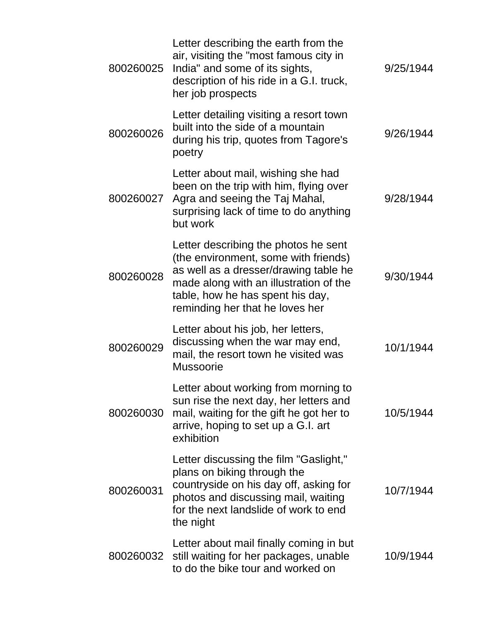| 800260025 | Letter describing the earth from the<br>air, visiting the "most famous city in<br>India" and some of its sights,<br>description of his ride in a G.I. truck,<br>her job prospects                                                      | 9/25/1944 |
|-----------|----------------------------------------------------------------------------------------------------------------------------------------------------------------------------------------------------------------------------------------|-----------|
| 800260026 | Letter detailing visiting a resort town<br>built into the side of a mountain<br>during his trip, quotes from Tagore's<br>poetry                                                                                                        | 9/26/1944 |
| 800260027 | Letter about mail, wishing she had<br>been on the trip with him, flying over<br>Agra and seeing the Taj Mahal,<br>surprising lack of time to do anything<br>but work                                                                   | 9/28/1944 |
| 800260028 | Letter describing the photos he sent<br>(the environment, some with friends)<br>as well as a dresser/drawing table he<br>made along with an illustration of the<br>table, how he has spent his day,<br>reminding her that he loves her | 9/30/1944 |
| 800260029 | Letter about his job, her letters,<br>discussing when the war may end,<br>mail, the resort town he visited was<br><b>Mussoorie</b>                                                                                                     | 10/1/1944 |
| 800260030 | Letter about working from morning to<br>sun rise the next day, her letters and<br>mail, waiting for the gift he got her to<br>arrive, hoping to set up a G.I. art<br>exhibition                                                        | 10/5/1944 |
| 800260031 | Letter discussing the film "Gaslight,"<br>plans on biking through the<br>countryside on his day off, asking for<br>photos and discussing mail, waiting<br>for the next landslide of work to end<br>the night                           | 10/7/1944 |
| 800260032 | Letter about mail finally coming in but<br>still waiting for her packages, unable<br>to do the bike tour and worked on                                                                                                                 | 10/9/1944 |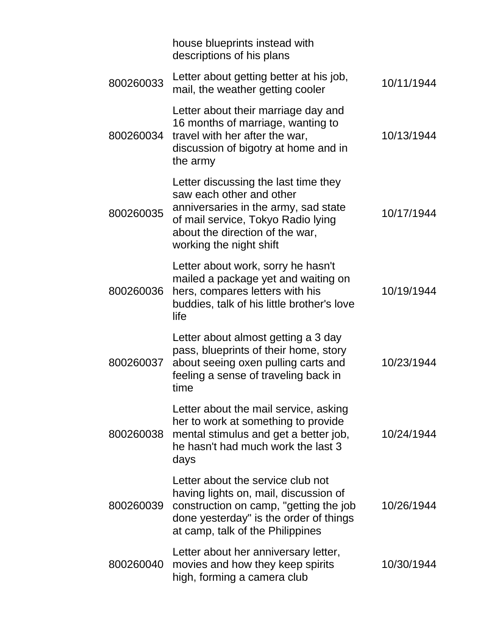|           | house blueprints instead with<br>descriptions of his plans                                                                                                                                                   |            |
|-----------|--------------------------------------------------------------------------------------------------------------------------------------------------------------------------------------------------------------|------------|
| 800260033 | Letter about getting better at his job,<br>mail, the weather getting cooler                                                                                                                                  | 10/11/1944 |
| 800260034 | Letter about their marriage day and<br>16 months of marriage, wanting to<br>travel with her after the war,<br>discussion of bigotry at home and in<br>the army                                               | 10/13/1944 |
| 800260035 | Letter discussing the last time they<br>saw each other and other<br>anniversaries in the army, sad state<br>of mail service, Tokyo Radio lying<br>about the direction of the war,<br>working the night shift | 10/17/1944 |
| 800260036 | Letter about work, sorry he hasn't<br>mailed a package yet and waiting on<br>hers, compares letters with his<br>buddies, talk of his little brother's love<br>life                                           | 10/19/1944 |
| 800260037 | Letter about almost getting a 3 day<br>pass, blueprints of their home, story<br>about seeing oxen pulling carts and<br>feeling a sense of traveling back in<br>time                                          | 10/23/1944 |
| 800260038 | Letter about the mail service, asking<br>her to work at something to provide<br>mental stimulus and get a better job,<br>he hasn't had much work the last 3<br>days                                          | 10/24/1944 |
| 800260039 | Letter about the service club not<br>having lights on, mail, discussion of<br>construction on camp, "getting the job<br>done yesterday" is the order of things<br>at camp, talk of the Philippines           | 10/26/1944 |
| 800260040 | Letter about her anniversary letter,<br>movies and how they keep spirits<br>high, forming a camera club                                                                                                      | 10/30/1944 |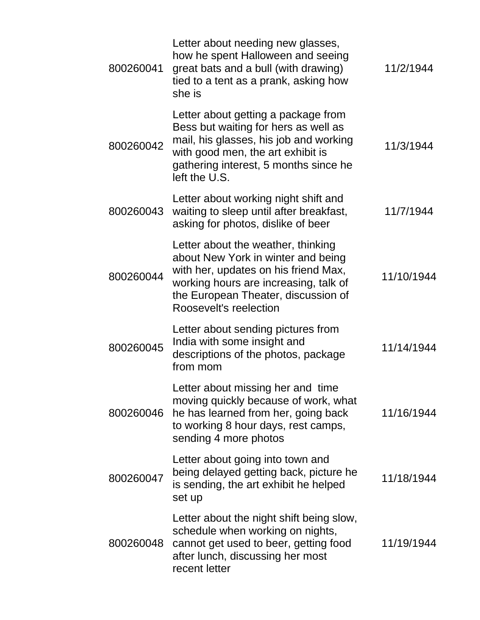| 800260041 | Letter about needing new glasses,<br>how he spent Halloween and seeing<br>great bats and a bull (with drawing)<br>tied to a tent as a prank, asking how<br>she is                                                          | 11/2/1944  |
|-----------|----------------------------------------------------------------------------------------------------------------------------------------------------------------------------------------------------------------------------|------------|
| 800260042 | Letter about getting a package from<br>Bess but waiting for hers as well as<br>mail, his glasses, his job and working<br>with good men, the art exhibit is<br>gathering interest, 5 months since he<br>left the U.S.       | 11/3/1944  |
| 800260043 | Letter about working night shift and<br>waiting to sleep until after breakfast,<br>asking for photos, dislike of beer                                                                                                      | 11/7/1944  |
| 800260044 | Letter about the weather, thinking<br>about New York in winter and being<br>with her, updates on his friend Max,<br>working hours are increasing, talk of<br>the European Theater, discussion of<br>Roosevelt's reelection | 11/10/1944 |
| 800260045 | Letter about sending pictures from<br>India with some insight and<br>descriptions of the photos, package<br>from mom                                                                                                       | 11/14/1944 |
| 800260046 | Letter about missing her and time<br>moving quickly because of work, what<br>he has learned from her, going back<br>to working 8 hour days, rest camps,<br>sending 4 more photos                                           | 11/16/1944 |
| 800260047 | Letter about going into town and<br>being delayed getting back, picture he<br>is sending, the art exhibit he helped<br>set up                                                                                              | 11/18/1944 |
| 800260048 | Letter about the night shift being slow,<br>schedule when working on nights,<br>cannot get used to beer, getting food<br>after lunch, discussing her most<br>recent letter                                                 | 11/19/1944 |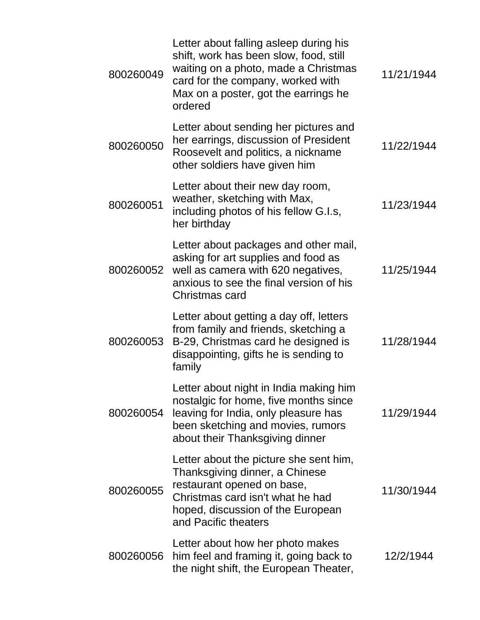| 800260049 | Letter about falling asleep during his<br>shift, work has been slow, food, still<br>waiting on a photo, made a Christmas<br>card for the company, worked with<br>Max on a poster, got the earrings he<br>ordered | 11/21/1944 |
|-----------|------------------------------------------------------------------------------------------------------------------------------------------------------------------------------------------------------------------|------------|
| 800260050 | Letter about sending her pictures and<br>her earrings, discussion of President<br>Roosevelt and politics, a nickname<br>other soldiers have given him                                                            | 11/22/1944 |
| 800260051 | Letter about their new day room,<br>weather, sketching with Max,<br>including photos of his fellow G.I.s,<br>her birthday                                                                                        | 11/23/1944 |
| 800260052 | Letter about packages and other mail,<br>asking for art supplies and food as<br>well as camera with 620 negatives,<br>anxious to see the final version of his<br>Christmas card                                  | 11/25/1944 |
| 800260053 | Letter about getting a day off, letters<br>from family and friends, sketching a<br>B-29, Christmas card he designed is<br>disappointing, gifts he is sending to<br>family                                        | 11/28/1944 |
| 800260054 | Letter about night in India making him<br>nostalgic for home, five months since<br>leaving for India, only pleasure has<br>been sketching and movies, rumors<br>about their Thanksgiving dinner                  | 11/29/1944 |
| 800260055 | Letter about the picture she sent him,<br>Thanksgiving dinner, a Chinese<br>restaurant opened on base,<br>Christmas card isn't what he had<br>hoped, discussion of the European<br>and Pacific theaters          | 11/30/1944 |
| 800260056 | Letter about how her photo makes<br>him feel and framing it, going back to<br>the night shift, the European Theater,                                                                                             | 12/2/1944  |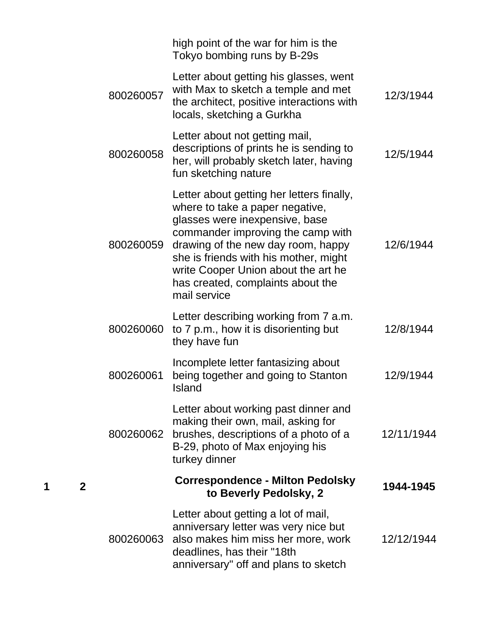|           | high point of the war for him is the<br>Tokyo bombing runs by B-29s                                                                                                                                                                                                                                                            |            |
|-----------|--------------------------------------------------------------------------------------------------------------------------------------------------------------------------------------------------------------------------------------------------------------------------------------------------------------------------------|------------|
| 800260057 | Letter about getting his glasses, went<br>with Max to sketch a temple and met<br>the architect, positive interactions with<br>locals, sketching a Gurkha                                                                                                                                                                       | 12/3/1944  |
| 800260058 | Letter about not getting mail,<br>descriptions of prints he is sending to<br>her, will probably sketch later, having<br>fun sketching nature                                                                                                                                                                                   | 12/5/1944  |
| 800260059 | Letter about getting her letters finally,<br>where to take a paper negative,<br>glasses were inexpensive, base<br>commander improving the camp with<br>drawing of the new day room, happy<br>she is friends with his mother, might<br>write Cooper Union about the art he<br>has created, complaints about the<br>mail service | 12/6/1944  |
| 800260060 | Letter describing working from 7 a.m.<br>to 7 p.m., how it is disorienting but<br>they have fun                                                                                                                                                                                                                                | 12/8/1944  |
| 800260061 | Incomplete letter fantasizing about<br>being together and going to Stanton<br>Island                                                                                                                                                                                                                                           | 12/9/1944  |
| 800260062 | Letter about working past dinner and<br>making their own, mail, asking for<br>brushes, descriptions of a photo of a<br>B-29, photo of Max enjoying his<br>turkey dinner                                                                                                                                                        | 12/11/1944 |
|           | <b>Correspondence - Milton Pedolsky</b><br>to Beverly Pedolsky, 2                                                                                                                                                                                                                                                              | 1944-1945  |
| 800260063 | Letter about getting a lot of mail,<br>anniversary letter was very nice but<br>also makes him miss her more, work<br>deadlines, has their "18th<br>anniversary" off and plans to sketch                                                                                                                                        | 12/12/1944 |

**1 2**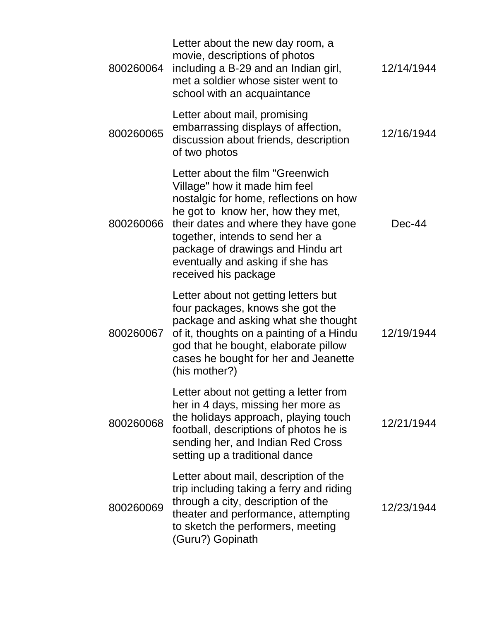| 800260064 | Letter about the new day room, a<br>movie, descriptions of photos<br>including a B-29 and an Indian girl,<br>met a soldier whose sister went to<br>school with an acquaintance                                                                                                                                                | 12/14/1944 |
|-----------|-------------------------------------------------------------------------------------------------------------------------------------------------------------------------------------------------------------------------------------------------------------------------------------------------------------------------------|------------|
| 800260065 | Letter about mail, promising<br>embarrassing displays of affection,<br>discussion about friends, description<br>of two photos                                                                                                                                                                                                 | 12/16/1944 |
| 800260066 | Letter about the film "Greenwich"<br>Village" how it made him feel<br>nostalgic for home, reflections on how<br>he got to know her, how they met,<br>their dates and where they have gone<br>together, intends to send her a<br>package of drawings and Hindu art<br>eventually and asking if she has<br>received his package | $Dec-44$   |
| 800260067 | Letter about not getting letters but<br>four packages, knows she got the<br>package and asking what she thought<br>of it, thoughts on a painting of a Hindu<br>god that he bought, elaborate pillow<br>cases he bought for her and Jeanette<br>(his mother?)                                                                  | 12/19/1944 |
| 800260068 | Letter about not getting a letter from<br>her in 4 days, missing her more as<br>the holidays approach, playing touch<br>football, descriptions of photos he is<br>sending her, and Indian Red Cross<br>setting up a traditional dance                                                                                         | 12/21/1944 |
| 800260069 | Letter about mail, description of the<br>trip including taking a ferry and riding<br>through a city, description of the<br>theater and performance, attempting<br>to sketch the performers, meeting<br>(Guru?) Gopinath                                                                                                       | 12/23/1944 |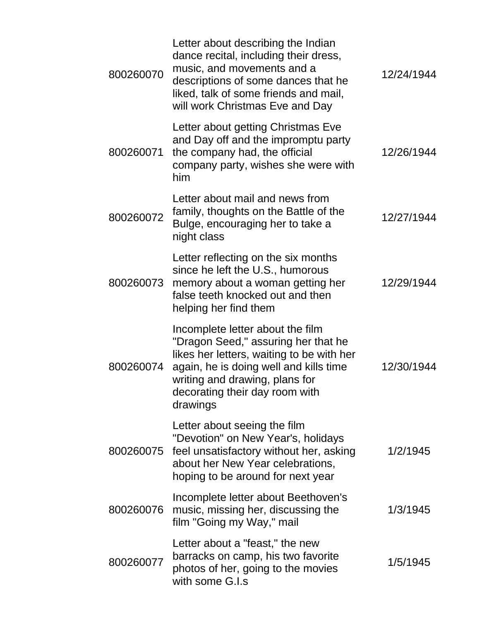| 800260070 | Letter about describing the Indian<br>dance recital, including their dress,<br>music, and movements and a<br>descriptions of some dances that he<br>liked, talk of some friends and mail,<br>will work Christmas Eve and Day                   | 12/24/1944 |
|-----------|------------------------------------------------------------------------------------------------------------------------------------------------------------------------------------------------------------------------------------------------|------------|
| 800260071 | Letter about getting Christmas Eve<br>and Day off and the impromptu party<br>the company had, the official<br>company party, wishes she were with<br>him                                                                                       | 12/26/1944 |
| 800260072 | Letter about mail and news from<br>family, thoughts on the Battle of the<br>Bulge, encouraging her to take a<br>night class                                                                                                                    | 12/27/1944 |
| 800260073 | Letter reflecting on the six months<br>since he left the U.S., humorous<br>memory about a woman getting her<br>false teeth knocked out and then<br>helping her find them                                                                       | 12/29/1944 |
| 800260074 | Incomplete letter about the film<br>"Dragon Seed," assuring her that he<br>likes her letters, waiting to be with her<br>again, he is doing well and kills time<br>writing and drawing, plans for<br>decorating their day room with<br>drawings | 12/30/1944 |
| 800260075 | Letter about seeing the film<br>"Devotion" on New Year's, holidays<br>feel unsatisfactory without her, asking<br>about her New Year celebrations,<br>hoping to be around for next year                                                         | 1/2/1945   |
| 800260076 | Incomplete letter about Beethoven's<br>music, missing her, discussing the<br>film "Going my Way," mail                                                                                                                                         | 1/3/1945   |
| 800260077 | Letter about a "feast," the new<br>barracks on camp, his two favorite<br>photos of her, going to the movies<br>with some G.I.s                                                                                                                 | 1/5/1945   |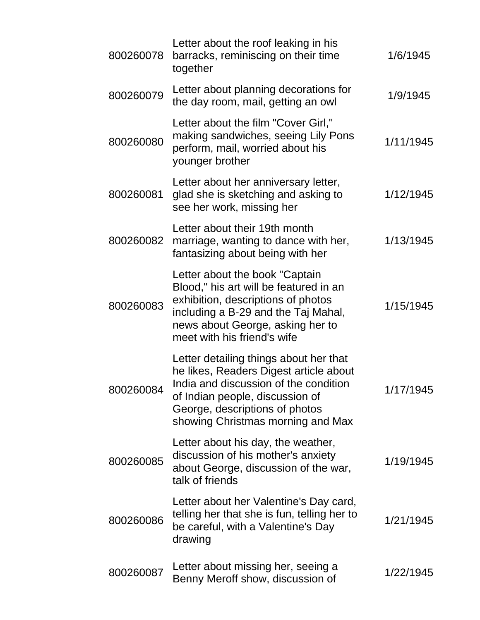| 800260078 | Letter about the roof leaking in his<br>barracks, reminiscing on their time<br>together                                                                                                                                             | 1/6/1945  |
|-----------|-------------------------------------------------------------------------------------------------------------------------------------------------------------------------------------------------------------------------------------|-----------|
| 800260079 | Letter about planning decorations for<br>the day room, mail, getting an owl                                                                                                                                                         | 1/9/1945  |
| 800260080 | Letter about the film "Cover Girl,"<br>making sandwiches, seeing Lily Pons<br>perform, mail, worried about his<br>younger brother                                                                                                   | 1/11/1945 |
| 800260081 | Letter about her anniversary letter,<br>glad she is sketching and asking to<br>see her work, missing her                                                                                                                            | 1/12/1945 |
| 800260082 | Letter about their 19th month<br>marriage, wanting to dance with her,<br>fantasizing about being with her                                                                                                                           | 1/13/1945 |
| 800260083 | Letter about the book "Captain"<br>Blood," his art will be featured in an<br>exhibition, descriptions of photos<br>including a B-29 and the Taj Mahal,<br>news about George, asking her to<br>meet with his friend's wife           | 1/15/1945 |
| 800260084 | Letter detailing things about her that<br>he likes, Readers Digest article about<br>India and discussion of the condition<br>of Indian people, discussion of<br>George, descriptions of photos<br>showing Christmas morning and Max | 1/17/1945 |
| 800260085 | Letter about his day, the weather,<br>discussion of his mother's anxiety<br>about George, discussion of the war,<br>talk of friends                                                                                                 | 1/19/1945 |
| 800260086 | Letter about her Valentine's Day card,<br>telling her that she is fun, telling her to<br>be careful, with a Valentine's Day<br>drawing                                                                                              | 1/21/1945 |
| 800260087 | Letter about missing her, seeing a<br>Benny Meroff show, discussion of                                                                                                                                                              | 1/22/1945 |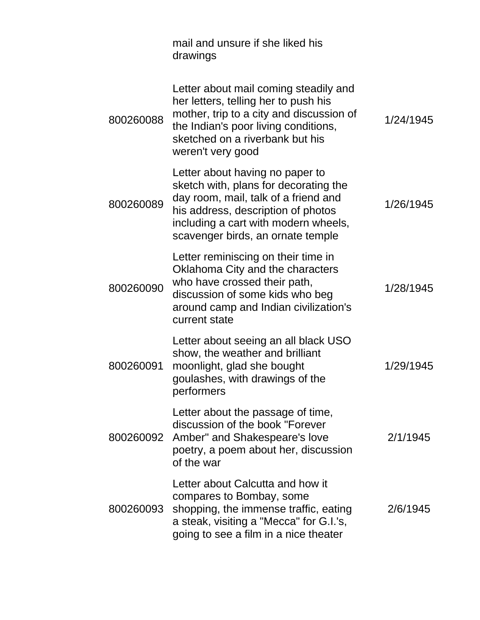|           | mail and unsure if she liked his<br>drawings                                                                                                                                                                                        |           |
|-----------|-------------------------------------------------------------------------------------------------------------------------------------------------------------------------------------------------------------------------------------|-----------|
| 800260088 | Letter about mail coming steadily and<br>her letters, telling her to push his<br>mother, trip to a city and discussion of<br>the Indian's poor living conditions,<br>sketched on a riverbank but his<br>weren't very good           | 1/24/1945 |
| 800260089 | Letter about having no paper to<br>sketch with, plans for decorating the<br>day room, mail, talk of a friend and<br>his address, description of photos<br>including a cart with modern wheels,<br>scavenger birds, an ornate temple | 1/26/1945 |
| 800260090 | Letter reminiscing on their time in<br>Oklahoma City and the characters<br>who have crossed their path,<br>discussion of some kids who beg<br>around camp and Indian civilization's<br>current state                                | 1/28/1945 |
| 800260091 | Letter about seeing an all black USO<br>show, the weather and brilliant<br>moonlight, glad she bought<br>goulashes, with drawings of the<br>performers                                                                              | 1/29/1945 |
|           | Letter about the passage of time,<br>discussion of the book "Forever<br>800260092 Amber" and Shakespeare's love<br>poetry, a poem about her, discussion<br>of the war                                                               | 2/1/1945  |
| 800260093 | Letter about Calcutta and how it<br>compares to Bombay, some<br>shopping, the immense traffic, eating<br>a steak, visiting a "Mecca" for G.I.'s,<br>going to see a film in a nice theater                                           | 2/6/1945  |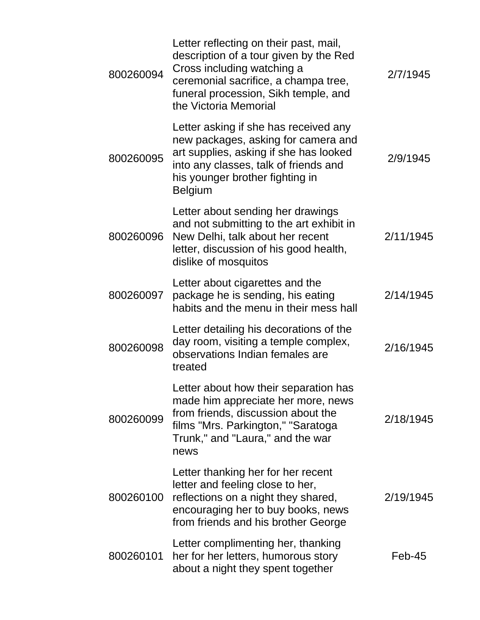| 800260094 | Letter reflecting on their past, mail,<br>description of a tour given by the Red<br>Cross including watching a<br>ceremonial sacrifice, a champa tree,<br>funeral procession, Sikh temple, and<br>the Victoria Memorial | 2/7/1945  |
|-----------|-------------------------------------------------------------------------------------------------------------------------------------------------------------------------------------------------------------------------|-----------|
| 800260095 | Letter asking if she has received any<br>new packages, asking for camera and<br>art supplies, asking if she has looked<br>into any classes, talk of friends and<br>his younger brother fighting in<br><b>Belgium</b>    | 2/9/1945  |
| 800260096 | Letter about sending her drawings<br>and not submitting to the art exhibit in<br>New Delhi, talk about her recent<br>letter, discussion of his good health,<br>dislike of mosquitos                                     | 2/11/1945 |
| 800260097 | Letter about cigarettes and the<br>package he is sending, his eating<br>habits and the menu in their mess hall                                                                                                          | 2/14/1945 |
| 800260098 | Letter detailing his decorations of the<br>day room, visiting a temple complex,<br>observations Indian females are<br>treated                                                                                           | 2/16/1945 |
| 800260099 | Letter about how their separation has<br>made him appreciate her more, news<br>from friends, discussion about the<br>films "Mrs. Parkington," "Saratoga<br>Trunk," and "Laura," and the war<br>news                     | 2/18/1945 |
| 800260100 | Letter thanking her for her recent<br>letter and feeling close to her,<br>reflections on a night they shared,<br>encouraging her to buy books, news<br>from friends and his brother George                              | 2/19/1945 |
| 800260101 | Letter complimenting her, thanking<br>her for her letters, humorous story<br>about a night they spent together                                                                                                          | Feb-45    |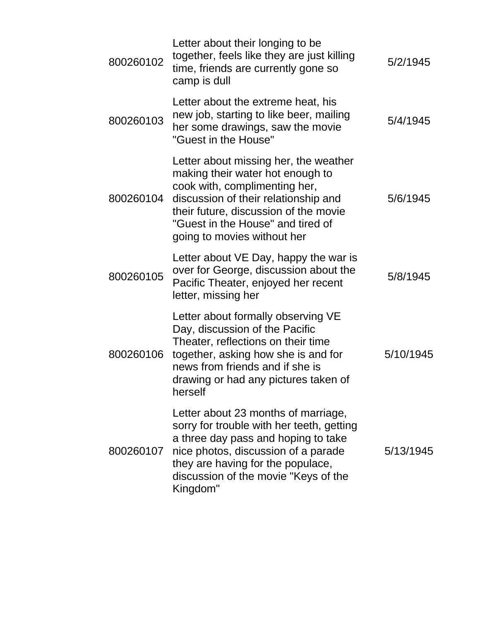| 800260102 | Letter about their longing to be<br>together, feels like they are just killing<br>time, friends are currently gone so<br>camp is dull                                                                                                                           | 5/2/1945  |
|-----------|-----------------------------------------------------------------------------------------------------------------------------------------------------------------------------------------------------------------------------------------------------------------|-----------|
| 800260103 | Letter about the extreme heat, his<br>new job, starting to like beer, mailing<br>her some drawings, saw the movie<br>"Guest in the House"                                                                                                                       | 5/4/1945  |
| 800260104 | Letter about missing her, the weather<br>making their water hot enough to<br>cook with, complimenting her,<br>discussion of their relationship and<br>their future, discussion of the movie<br>"Guest in the House" and tired of<br>going to movies without her | 5/6/1945  |
| 800260105 | Letter about VE Day, happy the war is<br>over for George, discussion about the<br>Pacific Theater, enjoyed her recent<br>letter, missing her                                                                                                                    | 5/8/1945  |
| 800260106 | Letter about formally observing VE<br>Day, discussion of the Pacific<br>Theater, reflections on their time<br>together, asking how she is and for<br>news from friends and if she is<br>drawing or had any pictures taken of<br>herself                         | 5/10/1945 |
| 800260107 | Letter about 23 months of marriage,<br>sorry for trouble with her teeth, getting<br>a three day pass and hoping to take<br>nice photos, discussion of a parade<br>they are having for the populace,<br>discussion of the movie "Keys of the<br>Kingdom"         | 5/13/1945 |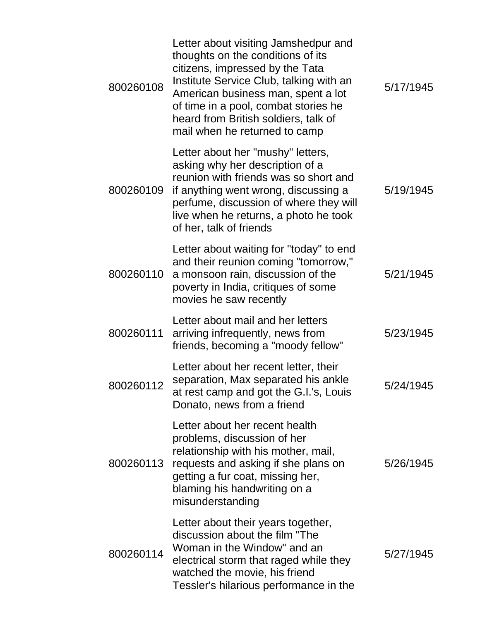| 800260108 | Letter about visiting Jamshedpur and<br>thoughts on the conditions of its<br>citizens, impressed by the Tata<br>Institute Service Club, talking with an<br>American business man, spent a lot<br>of time in a pool, combat stories he<br>heard from British soldiers, talk of<br>mail when he returned to camp | 5/17/1945 |
|-----------|----------------------------------------------------------------------------------------------------------------------------------------------------------------------------------------------------------------------------------------------------------------------------------------------------------------|-----------|
| 800260109 | Letter about her "mushy" letters,<br>asking why her description of a<br>reunion with friends was so short and<br>if anything went wrong, discussing a<br>perfume, discussion of where they will<br>live when he returns, a photo he took<br>of her, talk of friends                                            | 5/19/1945 |
| 800260110 | Letter about waiting for "today" to end<br>and their reunion coming "tomorrow,"<br>a monsoon rain, discussion of the<br>poverty in India, critiques of some<br>movies he saw recently                                                                                                                          | 5/21/1945 |
| 800260111 | Letter about mail and her letters<br>arriving infrequently, news from<br>friends, becoming a "moody fellow"                                                                                                                                                                                                    | 5/23/1945 |
| 800260112 | Letter about her recent letter, their<br>separation, Max separated his ankle<br>at rest camp and got the G.I.'s, Louis<br>Donato, news from a friend                                                                                                                                                           | 5/24/1945 |
| 800260113 | Letter about her recent health<br>problems, discussion of her<br>relationship with his mother, mail,<br>requests and asking if she plans on<br>getting a fur coat, missing her,<br>blaming his handwriting on a<br>misunderstanding                                                                            | 5/26/1945 |
| 800260114 | Letter about their years together,<br>discussion about the film "The<br>Woman in the Window" and an<br>electrical storm that raged while they<br>watched the movie, his friend<br>Tessler's hilarious performance in the                                                                                       | 5/27/1945 |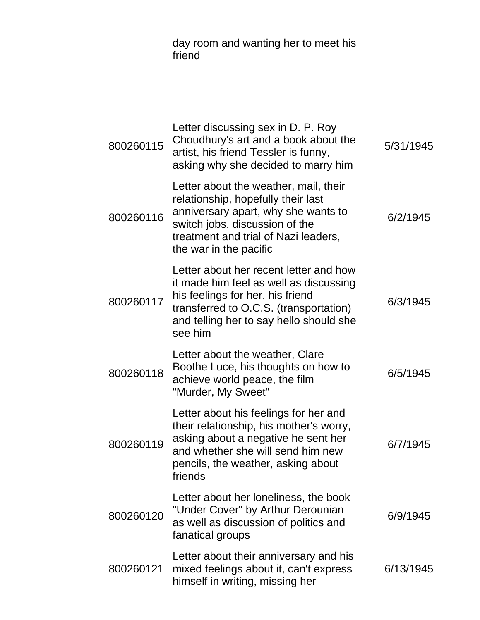day room and wanting her to meet his friend

| 800260115 | Letter discussing sex in D. P. Roy<br>Choudhury's art and a book about the<br>artist, his friend Tessler is funny,<br>asking why she decided to marry him                                                              | 5/31/1945 |
|-----------|------------------------------------------------------------------------------------------------------------------------------------------------------------------------------------------------------------------------|-----------|
| 800260116 | Letter about the weather, mail, their<br>relationship, hopefully their last<br>anniversary apart, why she wants to<br>switch jobs, discussion of the<br>treatment and trial of Nazi leaders,<br>the war in the pacific | 6/2/1945  |
| 800260117 | Letter about her recent letter and how<br>it made him feel as well as discussing<br>his feelings for her, his friend<br>transferred to O.C.S. (transportation)<br>and telling her to say hello should she<br>see him   | 6/3/1945  |
| 800260118 | Letter about the weather, Clare<br>Boothe Luce, his thoughts on how to<br>achieve world peace, the film<br>"Murder, My Sweet"                                                                                          | 6/5/1945  |
| 800260119 | Letter about his feelings for her and<br>their relationship, his mother's worry,<br>asking about a negative he sent her<br>and whether she will send him new<br>pencils, the weather, asking about<br>friends          | 6/7/1945  |
| 800260120 | Letter about her loneliness, the book<br>"Under Cover" by Arthur Derounian<br>as well as discussion of politics and<br>fanatical groups                                                                                | 6/9/1945  |
| 800260121 | Letter about their anniversary and his<br>mixed feelings about it, can't express<br>himself in writing, missing her                                                                                                    | 6/13/1945 |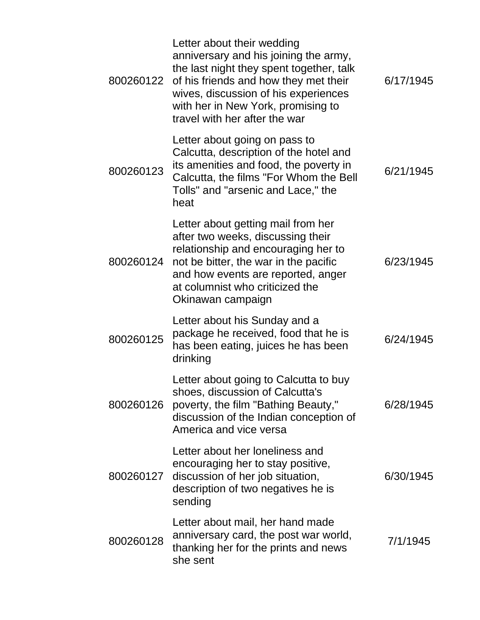| 800260122 | Letter about their wedding<br>anniversary and his joining the army,<br>the last night they spent together, talk<br>of his friends and how they met their<br>wives, discussion of his experiences<br>with her in New York, promising to<br>travel with her after the war | 6/17/1945 |
|-----------|-------------------------------------------------------------------------------------------------------------------------------------------------------------------------------------------------------------------------------------------------------------------------|-----------|
| 800260123 | Letter about going on pass to<br>Calcutta, description of the hotel and<br>its amenities and food, the poverty in<br>Calcutta, the films "For Whom the Bell<br>Tolls" and "arsenic and Lace," the<br>heat                                                               | 6/21/1945 |
| 800260124 | Letter about getting mail from her<br>after two weeks, discussing their<br>relationship and encouraging her to<br>not be bitter, the war in the pacific<br>and how events are reported, anger<br>at columnist who criticized the<br>Okinawan campaign                   | 6/23/1945 |
| 800260125 | Letter about his Sunday and a<br>package he received, food that he is<br>has been eating, juices he has been<br>drinking                                                                                                                                                | 6/24/1945 |
| 800260126 | Letter about going to Calcutta to buy<br>shoes, discussion of Calcutta's<br>poverty, the film "Bathing Beauty,"<br>discussion of the Indian conception of<br>America and vice versa                                                                                     | 6/28/1945 |
| 800260127 | Letter about her loneliness and<br>encouraging her to stay positive,<br>discussion of her job situation,<br>description of two negatives he is<br>sending                                                                                                               | 6/30/1945 |
| 800260128 | Letter about mail, her hand made<br>anniversary card, the post war world,<br>thanking her for the prints and news<br>she sent                                                                                                                                           | 7/1/1945  |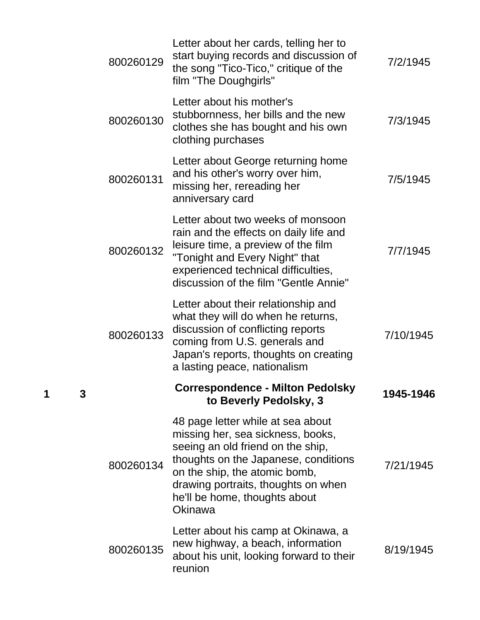|   |   | 800260129 | Letter about her cards, telling her to<br>start buying records and discussion of<br>the song "Tico-Tico," critique of the<br>film "The Doughgirls"                                                                                                                      | 7/2/1945  |
|---|---|-----------|-------------------------------------------------------------------------------------------------------------------------------------------------------------------------------------------------------------------------------------------------------------------------|-----------|
|   |   | 800260130 | Letter about his mother's<br>stubbornness, her bills and the new<br>clothes she has bought and his own<br>clothing purchases                                                                                                                                            | 7/3/1945  |
|   |   | 800260131 | Letter about George returning home<br>and his other's worry over him,<br>missing her, rereading her<br>anniversary card                                                                                                                                                 | 7/5/1945  |
|   |   | 800260132 | Letter about two weeks of monsoon<br>rain and the effects on daily life and<br>leisure time, a preview of the film<br>"Tonight and Every Night" that<br>experienced technical difficulties,<br>discussion of the film "Gentle Annie"                                    | 7/7/1945  |
|   |   | 800260133 | Letter about their relationship and<br>what they will do when he returns,<br>discussion of conflicting reports<br>coming from U.S. generals and<br>Japan's reports, thoughts on creating<br>a lasting peace, nationalism                                                | 7/10/1945 |
| 1 | 3 |           | <b>Correspondence - Milton Pedolsky</b><br>to Beverly Pedolsky, 3                                                                                                                                                                                                       | 1945-1946 |
|   |   | 800260134 | 48 page letter while at sea about<br>missing her, sea sickness, books,<br>seeing an old friend on the ship,<br>thoughts on the Japanese, conditions<br>on the ship, the atomic bomb,<br>drawing portraits, thoughts on when<br>he'll be home, thoughts about<br>Okinawa | 7/21/1945 |
|   |   | 800260135 | Letter about his camp at Okinawa, a<br>new highway, a beach, information<br>about his unit, looking forward to their<br>reunion                                                                                                                                         | 8/19/1945 |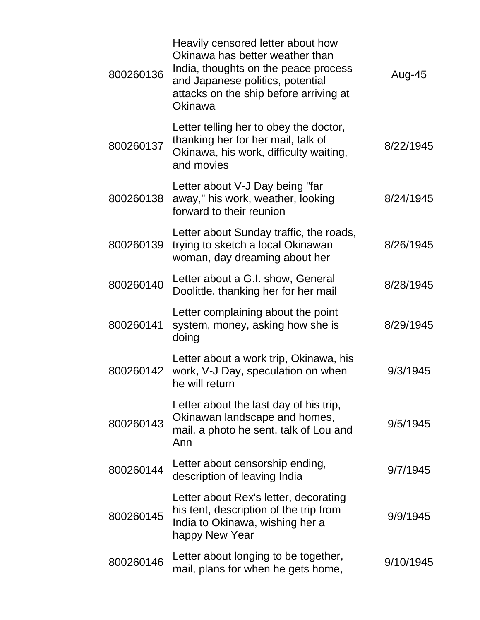| 800260136 | Heavily censored letter about how<br>Okinawa has better weather than<br>India, thoughts on the peace process<br>and Japanese politics, potential<br>attacks on the ship before arriving at<br>Okinawa | Aug-45    |
|-----------|-------------------------------------------------------------------------------------------------------------------------------------------------------------------------------------------------------|-----------|
| 800260137 | Letter telling her to obey the doctor,<br>thanking her for her mail, talk of<br>Okinawa, his work, difficulty waiting,<br>and movies                                                                  | 8/22/1945 |
| 800260138 | Letter about V-J Day being "far<br>away," his work, weather, looking<br>forward to their reunion                                                                                                      | 8/24/1945 |
| 800260139 | Letter about Sunday traffic, the roads,<br>trying to sketch a local Okinawan<br>woman, day dreaming about her                                                                                         | 8/26/1945 |
| 800260140 | Letter about a G.I. show, General<br>Doolittle, thanking her for her mail                                                                                                                             | 8/28/1945 |
| 800260141 | Letter complaining about the point<br>system, money, asking how she is<br>doing                                                                                                                       | 8/29/1945 |
| 800260142 | Letter about a work trip, Okinawa, his<br>work, V-J Day, speculation on when<br>he will return                                                                                                        | 9/3/1945  |
| 800260143 | Letter about the last day of his trip,<br>Okinawan landscape and homes,<br>mail, a photo he sent, talk of Lou and<br>Ann                                                                              | 9/5/1945  |
| 800260144 | Letter about censorship ending,<br>description of leaving India                                                                                                                                       | 9/7/1945  |
| 800260145 | Letter about Rex's letter, decorating<br>his tent, description of the trip from<br>India to Okinawa, wishing her a<br>happy New Year                                                                  | 9/9/1945  |
| 800260146 | Letter about longing to be together,<br>mail, plans for when he gets home,                                                                                                                            | 9/10/1945 |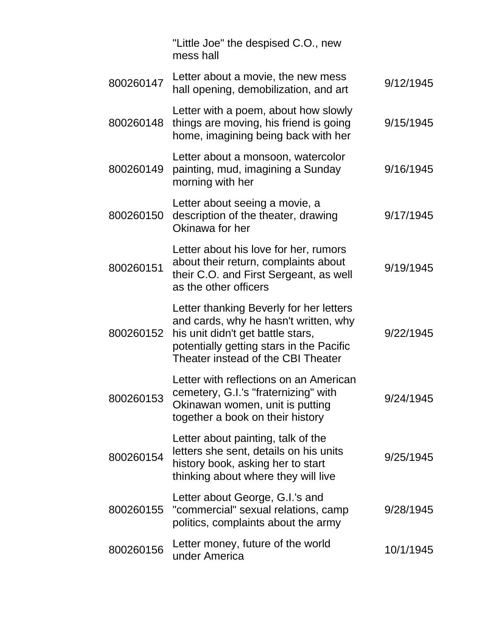|           | "Little Joe" the despised C.O., new<br>mess hall                                                                                                                                                        |           |
|-----------|---------------------------------------------------------------------------------------------------------------------------------------------------------------------------------------------------------|-----------|
| 800260147 | Letter about a movie, the new mess<br>hall opening, demobilization, and art                                                                                                                             | 9/12/1945 |
| 800260148 | Letter with a poem, about how slowly<br>things are moving, his friend is going<br>home, imagining being back with her                                                                                   | 9/15/1945 |
| 800260149 | Letter about a monsoon, watercolor<br>painting, mud, imagining a Sunday<br>morning with her                                                                                                             | 9/16/1945 |
| 800260150 | Letter about seeing a movie, a<br>description of the theater, drawing<br>Okinawa for her                                                                                                                | 9/17/1945 |
| 800260151 | Letter about his love for her, rumors<br>about their return, complaints about<br>their C.O. and First Sergeant, as well<br>as the other officers                                                        | 9/19/1945 |
| 800260152 | Letter thanking Beverly for her letters<br>and cards, why he hasn't written, why<br>his unit didn't get battle stars,<br>potentially getting stars in the Pacific<br>Theater instead of the CBI Theater | 9/22/1945 |
| 800260153 | Letter with reflections on an American<br>cemetery, G.I.'s "fraternizing" with<br>Okinawan women, unit is putting<br>together a book on their history                                                   | 9/24/1945 |
| 800260154 | Letter about painting, talk of the<br>letters she sent, details on his units<br>history book, asking her to start<br>thinking about where they will live                                                | 9/25/1945 |
| 800260155 | Letter about George, G.I.'s and<br>"commercial" sexual relations, camp<br>politics, complaints about the army                                                                                           | 9/28/1945 |
| 800260156 | Letter money, future of the world<br>under America                                                                                                                                                      | 10/1/1945 |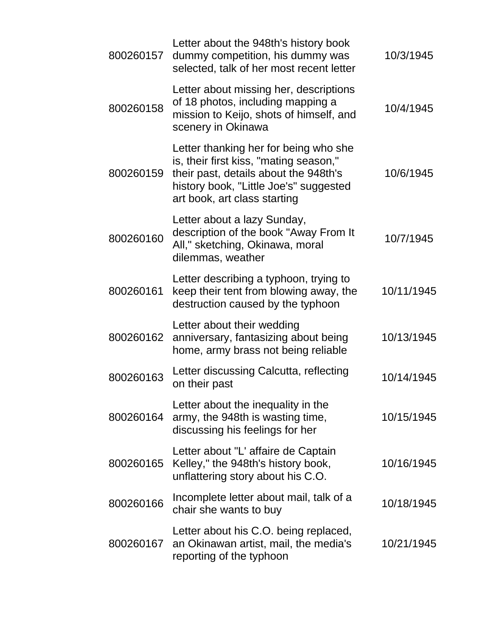| 800260157 | Letter about the 948th's history book<br>dummy competition, his dummy was<br>selected, talk of her most recent letter                                                                              | 10/3/1945  |
|-----------|----------------------------------------------------------------------------------------------------------------------------------------------------------------------------------------------------|------------|
| 800260158 | Letter about missing her, descriptions<br>of 18 photos, including mapping a<br>mission to Keijo, shots of himself, and<br>scenery in Okinawa                                                       | 10/4/1945  |
| 800260159 | Letter thanking her for being who she<br>is, their first kiss, "mating season,"<br>their past, details about the 948th's<br>history book, "Little Joe's" suggested<br>art book, art class starting | 10/6/1945  |
| 800260160 | Letter about a lazy Sunday,<br>description of the book "Away From It<br>All," sketching, Okinawa, moral<br>dilemmas, weather                                                                       | 10/7/1945  |
| 800260161 | Letter describing a typhoon, trying to<br>keep their tent from blowing away, the<br>destruction caused by the typhoon                                                                              | 10/11/1945 |
| 800260162 | Letter about their wedding<br>anniversary, fantasizing about being<br>home, army brass not being reliable                                                                                          | 10/13/1945 |
| 800260163 | Letter discussing Calcutta, reflecting<br>on their past                                                                                                                                            | 10/14/1945 |
| 800260164 | Letter about the inequality in the<br>army, the 948th is wasting time,<br>discussing his feelings for her                                                                                          | 10/15/1945 |
| 800260165 | Letter about "L' affaire de Captain<br>Kelley," the 948th's history book,<br>unflattering story about his C.O.                                                                                     | 10/16/1945 |
| 800260166 | Incomplete letter about mail, talk of a<br>chair she wants to buy                                                                                                                                  | 10/18/1945 |
| 800260167 | Letter about his C.O. being replaced,<br>an Okinawan artist, mail, the media's<br>reporting of the typhoon                                                                                         | 10/21/1945 |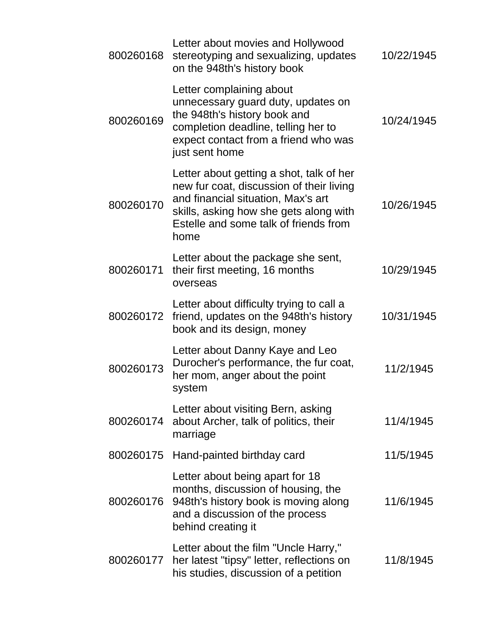| 800260168 | Letter about movies and Hollywood<br>stereotyping and sexualizing, updates<br>on the 948th's history book                                                                                                             | 10/22/1945 |
|-----------|-----------------------------------------------------------------------------------------------------------------------------------------------------------------------------------------------------------------------|------------|
| 800260169 | Letter complaining about<br>unnecessary guard duty, updates on<br>the 948th's history book and<br>completion deadline, telling her to<br>expect contact from a friend who was<br>just sent home                       | 10/24/1945 |
| 800260170 | Letter about getting a shot, talk of her<br>new fur coat, discussion of their living<br>and financial situation, Max's art<br>skills, asking how she gets along with<br>Estelle and some talk of friends from<br>home | 10/26/1945 |
| 800260171 | Letter about the package she sent,<br>their first meeting, 16 months<br>overseas                                                                                                                                      | 10/29/1945 |
| 800260172 | Letter about difficulty trying to call a<br>friend, updates on the 948th's history<br>book and its design, money                                                                                                      | 10/31/1945 |
| 800260173 | Letter about Danny Kaye and Leo<br>Durocher's performance, the fur coat,<br>her mom, anger about the point<br>system                                                                                                  | 11/2/1945  |
| 800260174 | Letter about visiting Bern, asking<br>about Archer, talk of politics, their<br>marriage                                                                                                                               | 11/4/1945  |
| 800260175 | Hand-painted birthday card                                                                                                                                                                                            | 11/5/1945  |
| 800260176 | Letter about being apart for 18<br>months, discussion of housing, the<br>948th's history book is moving along<br>and a discussion of the process<br>behind creating it                                                | 11/6/1945  |
| 800260177 | Letter about the film "Uncle Harry,"<br>her latest "tipsy" letter, reflections on<br>his studies, discussion of a petition                                                                                            | 11/8/1945  |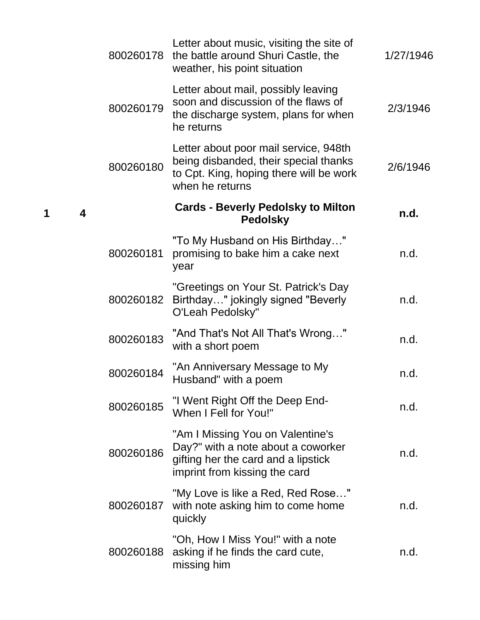| 800260178 | Letter about music, visiting the site of<br>the battle around Shuri Castle, the<br>weather, his point situation                                | 1/27/1946 |
|-----------|------------------------------------------------------------------------------------------------------------------------------------------------|-----------|
| 800260179 | Letter about mail, possibly leaving<br>soon and discussion of the flaws of<br>the discharge system, plans for when<br>he returns               | 2/3/1946  |
| 800260180 | Letter about poor mail service, 948th<br>being disbanded, their special thanks<br>to Cpt. King, hoping there will be work<br>when he returns   | 2/6/1946  |
| 4         | <b>Cards - Beverly Pedolsky to Milton</b><br><b>Pedolsky</b>                                                                                   | n.d.      |
| 800260181 | "To My Husband on His Birthday"<br>promising to bake him a cake next<br>year                                                                   | n.d.      |
| 800260182 | "Greetings on Your St. Patrick's Day<br>Birthday" jokingly signed "Beverly<br>O'Leah Pedolsky"                                                 | n.d.      |
| 800260183 | "And That's Not All That's Wrong"<br>with a short poem                                                                                         | n.d.      |
| 800260184 | "An Anniversary Message to My<br>Husband" with a poem                                                                                          | n.d.      |
| 800260185 | "I Went Right Off the Deep End-<br>When I Fell for You!"                                                                                       | n.d.      |
| 800260186 | "Am I Missing You on Valentine's<br>Day?" with a note about a coworker<br>gifting her the card and a lipstick<br>imprint from kissing the card | n.d.      |
| 800260187 | "My Love is like a Red, Red Rose"<br>with note asking him to come home<br>quickly                                                              | n.d.      |
| 800260188 | "Oh, How I Miss You!" with a note<br>asking if he finds the card cute,<br>missing him                                                          | n.d.      |

**1 4**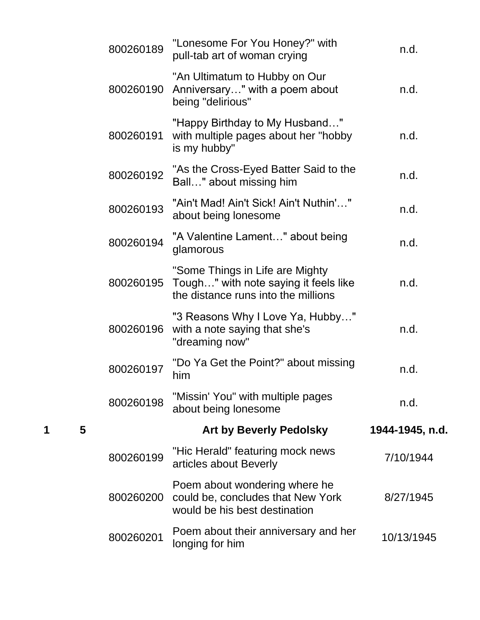| n.d.            |
|-----------------|
| n.d.            |
| n.d.            |
| n.d.            |
| n.d.            |
| n.d.            |
| n.d.            |
| n.d.            |
| n.d.            |
| n.d.            |
| 1944-1945, n.d. |
| 7/10/1944       |
| 8/27/1945       |
|                 |
|                 |